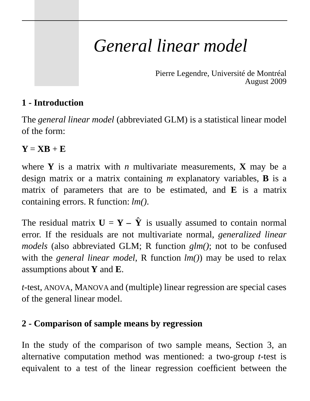# *General linear model*

Pierre Legendre, Université de Montréal August 2009

# **1 - Introduction**

The *general linear model* (abbreviated GLM) is a statistical linear model of the form:

# $Y = \mathbf{X}\mathbf{B} + \mathbf{E}$

where **Y** is a matrix with *n* multivariate measurements, **X** may be a design matrix or a matrix containing *m* explanatory variables, **B** is a matrix of parameters that are to be estimated, and **E** is a matrix containing errors. R function: *lm()*.

The residual matrix  $U = \mathbf{Y} - \hat{\mathbf{Y}}$  is usually assumed to contain normal error. If the residuals are not multivariate normal, *generalized linear models* (also abbreviated GLM; R function *glm()*; not to be confused with the *general linear model*, R function *lm()*) may be used to relax assumptions about **Y** and **E**.

*t*-test, ANOVA, MANOVA and (multiple) linear regression are special cases of the general linear model.

# **2 - Comparison of sample means by regression**

In the study of the comparison of two sample means, Section 3, an alternative computation method was mentioned: a two-group *t*-test is equivalent to a test of the linear regression coefficient between the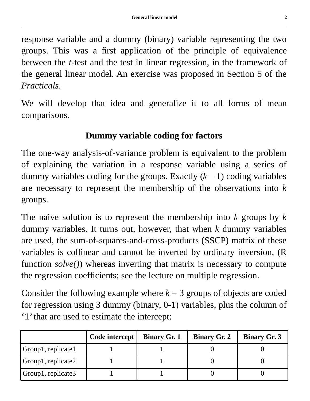response variable and a dummy (binary) variable representing the two groups. This was a first application of the principle of equivalence between the *t*-test and the test in linear regression, in the framework of the general linear model. An exercise was proposed in Section 5 of the *Practicals*.

We will develop that idea and generalize it to all forms of mean comparisons.

### **Dummy variable coding for factors**

The one-way analysis-of-variance problem is equivalent to the problem of explaining the variation in a response variable using a series of dummy variables coding for the groups. Exactly  $(k - 1)$  coding variables are necessary to represent the membership of the observations into *k* groups.

The naive solution is to represent the membership into *k* groups by *k* dummy variables. It turns out, however, that when *k* dummy variables are used, the sum-of-squares-and-cross-products (SSCP) matrix of these variables is collinear and cannot be inverted by ordinary inversion, (R function *solve()*) whereas inverting that matrix is necessary to compute the regression coefficients; see the lecture on multiple regression.

Consider the following example where  $k = 3$  groups of objects are coded for regression using 3 dummy (binary, 0-1) variables, plus the column of '1' that are used to estimate the intercept:

|                    | Code intercept | <b>Binary Gr. 1</b> | <b>Binary Gr. 2</b> | <b>Binary Gr. 3</b> |
|--------------------|----------------|---------------------|---------------------|---------------------|
| Group1, replicate1 |                |                     |                     |                     |
| Group1, replicate2 |                |                     |                     |                     |
| Group1, replicate3 |                |                     |                     |                     |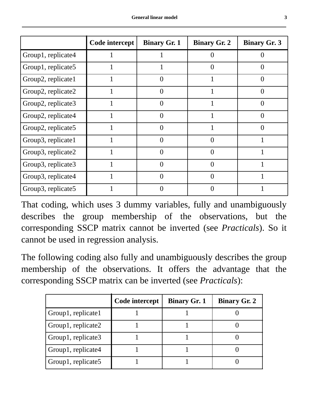|                    | Code intercept | <b>Binary Gr. 1</b> | <b>Binary Gr. 2</b> | <b>Binary Gr. 3</b> |
|--------------------|----------------|---------------------|---------------------|---------------------|
| Group1, replicate4 |                |                     | $\Omega$            |                     |
| Group1, replicate5 |                |                     | $\Omega$            | $\mathbf{0}$        |
| Group2, replicate1 |                | $\Omega$            |                     | $\Omega$            |
| Group2, replicate2 |                | $\Omega$            |                     | $\Omega$            |
| Group2, replicate3 |                | $\theta$            |                     | $\mathbf{\Omega}$   |
| Group2, replicate4 |                | $\theta$            |                     |                     |
| Group2, replicate5 |                | 0                   |                     | $\mathbf{\Omega}$   |
| Group3, replicate1 |                | 0                   | $\theta$            |                     |
| Group3, replicate2 |                | $\Omega$            | $\Omega$            |                     |
| Group3, replicate3 |                | $\mathcal{O}$       | $\Omega$            |                     |
| Group3, replicate4 |                | $\mathbf{\Omega}$   | $\Omega$            |                     |
| Group3, replicate5 |                |                     | $\theta$            |                     |

That coding, which uses 3 dummy variables, fully and unambiguously describes the group membership of the observations, but the corresponding SSCP matrix cannot be inverted (see *Practicals*). So it cannot be used in regression analysis.

The following coding also fully and unambiguously describes the group membership of the observations. It offers the advantage that the corresponding SSCP matrix can be inverted (see *Practicals*):

|                    | Code intercept | <b>Binary Gr. 1</b> | <b>Binary Gr. 2</b> |
|--------------------|----------------|---------------------|---------------------|
| Group1, replicate1 |                |                     |                     |
| Group1, replicate2 |                |                     |                     |
| Group1, replicate3 |                |                     |                     |
| Group1, replicate4 |                |                     |                     |
| Group1, replicate5 |                |                     |                     |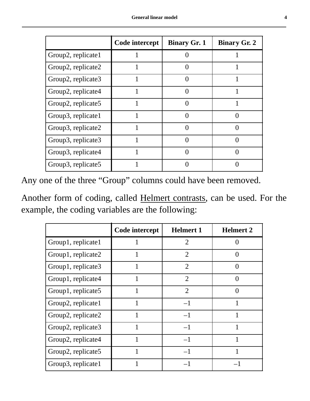|                    | Code intercept | <b>Binary Gr. 1</b> | <b>Binary Gr. 2</b> |
|--------------------|----------------|---------------------|---------------------|
| Group2, replicate1 |                | $\Omega$            |                     |
| Group2, replicate2 |                | 0                   |                     |
| Group2, replicate3 |                |                     |                     |
| Group2, replicate4 |                | ∩                   |                     |
| Group2, replicate5 |                | ∩                   |                     |
| Group3, replicate1 |                |                     |                     |
| Group3, replicate2 |                | ∩                   |                     |
| Group3, replicate3 |                | $\Omega$            |                     |
| Group3, replicate4 |                |                     |                     |
| Group3, replicate5 |                |                     |                     |

Any one of the three "Group" columns could have been removed.

Another form of coding, called Helmert contrasts, can be used. For the example, the coding variables are the following:

|                    | Code intercept | <b>Helmert 1</b> | <b>Helmert 2</b>  |
|--------------------|----------------|------------------|-------------------|
| Group1, replicate1 |                | $\overline{2}$   | 0                 |
| Group1, replicate2 |                | $\overline{2}$   | $\mathbf{\Omega}$ |
| Group1, replicate3 |                | $\overline{2}$   | $\mathbf{\Omega}$ |
| Group1, replicate4 |                | $\overline{2}$   | $\mathbf{\Omega}$ |
| Group1, replicate5 | 1              | $\overline{2}$   | $\Omega$          |
| Group2, replicate1 | 1              | $-1$             |                   |
| Group2, replicate2 | 1              | $-1$             | 1                 |
| Group2, replicate3 | 1              | $-1$             | 1                 |
| Group2, replicate4 | 1              | $-1$             |                   |
| Group2, replicate5 |                | $-1$             |                   |
| Group3, replicate1 |                |                  |                   |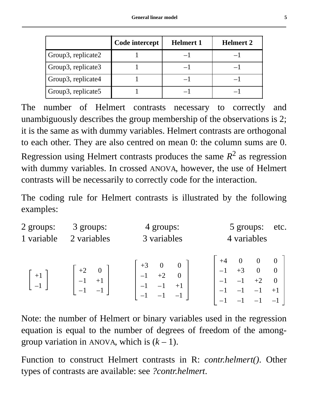|                    | Code intercept | <b>Helmert 1</b> | <b>Helmert 2</b> |
|--------------------|----------------|------------------|------------------|
| Group3, replicate2 |                |                  |                  |
| Group3, replicate3 |                |                  |                  |
| Group3, replicate4 |                |                  |                  |
| Group3, replicate5 |                |                  |                  |

The number of Helmert contrasts necessary to correctly and unambiguously describes the group membership of the observations is 2; it is the same as with dummy variables. Helmert contrasts are orthogonal to each other. They are also centred on mean 0: the column sums are 0. Regression using Helmert contrasts produces the same  $R^2$  as regression with dummy variables. In crossed ANOVA, however, the use of Helmert contrasts will be necessarily to correctly code for the interaction.

The coding rule for Helmert contrasts is illustrated by the following examples:

| 2 groups:  | 3 groups:   | 4 groups:                                    | 5 groups:      | etc.                                                      |
|------------|-------------|----------------------------------------------|----------------|-----------------------------------------------------------|
| 1 variable | 2 variables | 3 variables                                  | 4 variables    |                                                           |
| $+1$       |             | $+3$<br>$\boldsymbol{0}$<br>$+2$<br>$\Omega$ | $+3$ 0<br>$+2$ | $\overline{\mathbf{0}}$<br>$\overline{0}$<br>$\mathbf{0}$ |

Note: the number of Helmert or binary variables used in the regression equation is equal to the number of degrees of freedom of the amonggroup variation in ANOVA, which is  $(k - 1)$ .

Function to construct Helmert contrasts in R: *contr.helmert()*. Other types of contrasts are available: see *?contr.helmert*.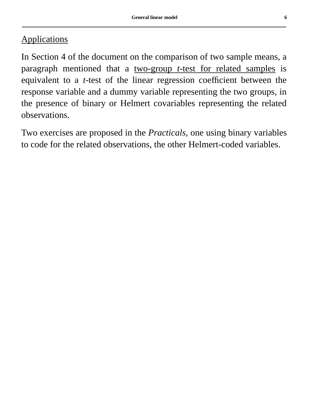# **Applications**

In Section 4 of the document on the comparison of two sample means, a paragraph mentioned that a two-group *t*-test for related samples is equivalent to a *t*-test of the linear regression coefficient between the response variable and a dummy variable representing the two groups, in the presence of binary or Helmert covariables representing the related observations.

Two exercises are proposed in the *Practicals*, one using binary variables to code for the related observations, the other Helmert-coded variables.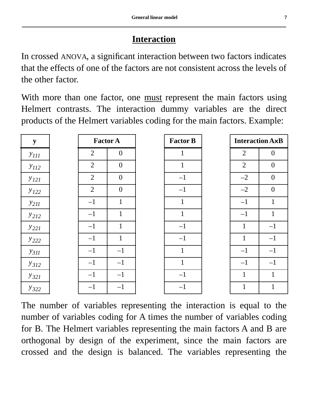# **Interaction**

In crossed ANOVA, a significant interaction between two factors indicates that the effects of one of the factors are not consistent across the levels of the other factor.

With more than one factor, one must represent the main factors using Helmert contrasts. The interaction dummy variables are the direct products of the Helmert variables coding for the main factors. Example:

| ${\bf y}$ | <b>Factor A</b> |                | <b>Factor B</b> | <b>Interaction AxB</b> |                |
|-----------|-----------------|----------------|-----------------|------------------------|----------------|
| $y_{III}$ | $\overline{2}$  | $\overline{0}$ | 1               | $\overline{2}$         | $\overline{0}$ |
| $y_{112}$ | $\overline{2}$  | $\mathbf{0}$   | $\mathbf{1}$    | $\overline{2}$         | $\overline{0}$ |
| $y_{121}$ | $\overline{2}$  | $\overline{0}$ | $-1$            | $-2$                   | $\overline{0}$ |
| $y_{122}$ | $\overline{2}$  | $\overline{0}$ | $-1$            | $-2$                   | $\overline{0}$ |
| $y_{211}$ | $-1$            | $\mathbf{1}$   | $\mathbf{1}$    | $-1$                   | $\mathbf{1}$   |
| $y_{212}$ | $-1$            | $\mathbf{1}$   | $\mathbf{1}$    | $-1$                   | $\mathbf{1}$   |
| $y_{221}$ | $-1$            | $\mathbf{1}$   | $-1$            | 1                      | $-1$           |
| $y_{222}$ | $-1$            | $\mathbf{1}$   | $-1$            | $\mathbf{1}$           | $-1$           |
| $y_{311}$ | $-1$            | $-1$           | $\mathbf{1}$    | $-1$                   | $-1$           |
| $y_{312}$ | $-1$            | $-1$           | $\mathbf{1}$    | $-1$                   | $-1$           |
| $y_{321}$ | $-1$            | $-1$           | $-1$            | $\mathbf{1}$           | $\mathbf{1}$   |
| $y_{322}$ | $-1$            | $-1$           | $-1$            | $\mathbf{1}$           | $\mathbf{1}$   |

The number of variables representing the interaction is equal to the number of variables coding for A times the number of variables coding for B. The Helmert variables representing the main factors A and B are orthogonal by design of the experiment, since the main factors are crossed and the design is balanced. The variables representing the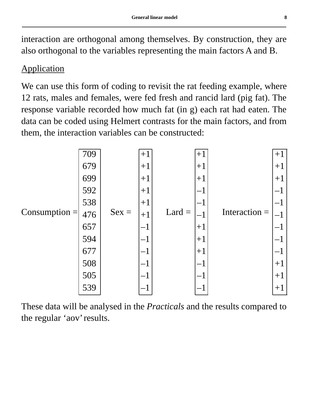interaction are orthogonal among themselves. By construction, they are also orthogonal to the variables representing the main factors A and B.

### **Application**

We can use this form of coding to revisit the rat feeding example, where 12 rats, males and females, were fed fresh and rancid lard (pig fat). The response variable recorded how much fat (in g) each rat had eaten. The data can be coded using Helmert contrasts for the main factors, and from them, the interaction variables can be constructed:

|                 | 709 |         | $+1$  |  | $+1$     |                 | $+1$ |
|-----------------|-----|---------|-------|--|----------|-----------------|------|
|                 | 679 | $Sex =$ | $+1$  |  | $ +1$    |                 | $+1$ |
|                 | 699 |         | $+1$  |  | $ +1$    |                 | $+1$ |
|                 | 592 |         | $+1$  |  |          |                 |      |
|                 | 538 |         | $+1$  |  |          |                 |      |
| $Consumption =$ | 476 |         | $+1$  |  | $Lard =$ | Interaction $=$ |      |
|                 | 657 |         |       |  | $+1$     |                 |      |
|                 | 594 |         | $ +1$ |  |          |                 |      |
|                 | 677 |         |       |  | $+1$     |                 |      |
|                 | 508 |         |       |  |          |                 | $+1$ |
|                 | 505 |         |       |  |          |                 | $+1$ |
|                 | 539 |         |       |  |          |                 | $+1$ |

These data will be analysed in the *Practicals* and the results compared to the regular 'aov' results.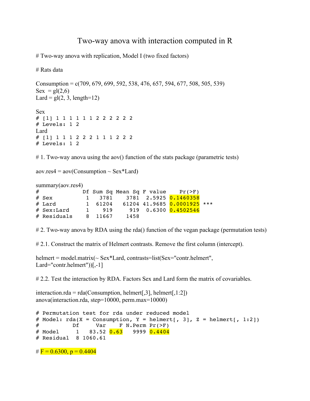#### Two-way anova with interaction computed in R

# Two-way anova with replication, Model I (two fixed factors)

# Rats data

Consumption =  $c(709, 679, 699, 592, 538, 476, 657, 594, 677, 508, 505, 539)$  $Sex = gl(2,6)$ Lard =  $gl(2, 3, length=12)$ Sex # [1] 1 1 1 1 1 1 2 2 2 2 2 2 # Levels: 1 2 Lard # [1] 1 1 1 2 2 2 1 1 1 2 2 2 # Levels: 1 2

# 1. Two-way anova using the aov() function of the stats package (parametric tests)

 $aovres4 = aov(Consumption \sim Sex*Lard)$ 

|   | summary(aov,res4) |              |         |      |                                        |  |
|---|-------------------|--------------|---------|------|----------------------------------------|--|
| # |                   |              |         |      | Df Sum Sq Mean Sq F value $Pr(\geq F)$ |  |
|   | $#$ Sex           | $\mathbf{1}$ |         |      | 3781 3781 2.5925 0.1460358             |  |
|   | $#$ Lard          | $\mathbf{1}$ |         |      | 61204 61204 41.9685 0.0001925 ***      |  |
|   | $#$ Sex:Lard      | $\mathbf{1}$ | 919     |      | 919  0.6300 <mark>0.4502546</mark>     |  |
|   | $#$ Residuals     |              | 8 11667 | 1458 |                                        |  |

# 2. Two-way anova by RDA using the rda() function of the vegan package (permutation tests)

# 2.1. Construct the matrix of Helmert contrasts. Remove the first column (intercept).

helmert = model.matrix(~ Sex\*Lard, contrasts=list(Sex="contr.helmert", Lard="contr.helmert"))[,-1]

# 2.2. Test the interaction by RDA. Factors Sex and Lard form the matrix of covariables.

interaction.rda = rda(Consumption, helmert[, $3$ ], helmert[, $1:2$ ]) anova(interaction.rda, step=10000, perm.max=10000)

```
# Permutation test for rda under reduced model
# Model: rda(X = \text{consumption}, Y = \text{helmert}, 3], Z = \text{helmert}, 1:2])# Df Var F N.Perm Pr(>F)
# Model 1 83.52 0.63 9999 0.4404
# Residual 8 1060.61 
# \mathbf{F} = 0.6300, \mathbf{p} = 0.4404
```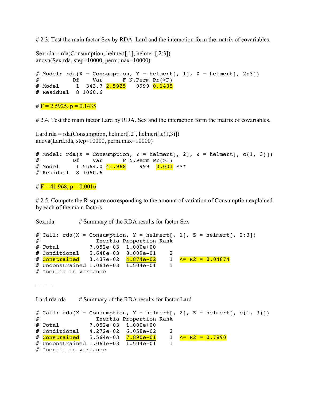# 2.3. Test the main factor Sex by RDA. Lard and the interaction form the matrix of covariables.

```
Sex.rda = rda(Consumption, helmert[,1], helmert[,2:3])
anova(Sex.rda, step=10000, perm.max=10000) 
# Model: rda(X = \text{consumption}, Y = \text{helmert}, 1], Z = \text{helmert}, 2:3]# Df Var F N.Perm Pr(>F)
# Model       1   343.7 <mark>2.5925</mark>    9999 <mark>0.1435</mark>
# Residual 8 1060.6
```

```
# \mathbf{F} = 2.5925, \mathbf{p} = 0.1435
```
# 2.4. Test the main factor Lard by RDA. Sex and the interaction form the matrix of covariables.

Lard.rda = rda(Consumption, helmert[,2], helmert[,c(1,3)]) anova(Lard.rda, step=10000, perm.max=10000)

```
# Model: rda(X = \text{consumption}, Y = \text{helmert}, 2], Z = \text{helmert}, c(1, 3))# Df Var F N.Perm Pr(>F) 
# Model 1 5564.0 41.968 999 0.001 ***
# Residual 8 1060.6
```
#  $\mathbf{F} = 41.968$ ,  $\mathbf{p} = 0.0016$ 

#2.5. Compute the R-square corresponding to the amount of variation of Consumption explained by each of the main factors

Sex.rda # Summary of the RDA results for factor Sex

```
# Call: rda(X = \text{consumption}, Y = \text{helmert}, 1, Z = \text{helmert}, 2:3)# Inertia Proportion Rank
# Total 7.052e+03 1.000e+00 
# Conditional 5.648e+03 8.009e-01 2
# Constrained 3.437e+02 4.874e-02 1 \leq R2 = 0.04874# Unconstrained 1.061e+03 1.504e-01 1
# Inertia is variance
```
--------

Lard.rda rda # Summary of the RDA results for factor Lard

```
# Call: rda(X = \text{consumption}, Y = \text{helmert}[, 2], Z = \text{helmert}[, c(1, 3)]# Inertia Proportion Rank
# Total 7.052e+03 1.000e+00 
# Conditional 4.272e+02 6.058e-02 2
# Constrained 5.564e+03 7.890e-01 1 <= R2 = 0.7890
# Unconstrained 1.061e+03 1.504e-01 1
# Inertia is variance
```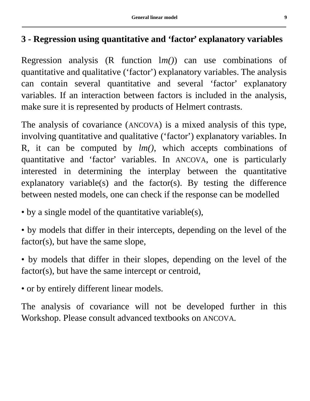# **3 - Regression using quantitative and 'factor' explanatory variables**

Regression analysis (R function l*m()*) can use combinations of quantitative and qualitative ('factor') explanatory variables. The analysis can contain several quantitative and several 'factor' explanatory variables. If an interaction between factors is included in the analysis, make sure it is represented by products of Helmert contrasts.

The analysis of covariance (ANCOVA) is a mixed analysis of this type, involving quantitative and qualitative ('factor') explanatory variables. In R, it can be computed by *lm()*, which accepts combinations of quantitative and 'factor' variables. In ANCOVA, one is particularly interested in determining the interplay between the quantitative explanatory variable(s) and the factor(s). By testing the difference between nested models, one can check if the response can be modelled

- by a single model of the quantitative variable(s),
- by models that differ in their intercepts, depending on the level of the factor(s), but have the same slope,
- by models that differ in their slopes, depending on the level of the factor(s), but have the same intercept or centroid,
- or by entirely different linear models.

The analysis of covariance will not be developed further in this Workshop. Please consult advanced textbooks on ANCOVA.